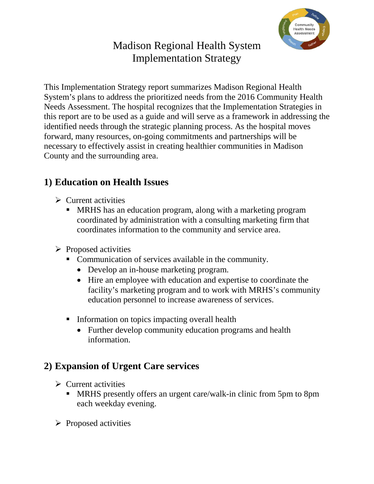

# Madison Regional Health System Implementation Strategy

This Implementation Strategy report summarizes Madison Regional Health System's plans to address the prioritized needs from the 2016 Community Health Needs Assessment. The hospital recognizes that the Implementation Strategies in this report are to be used as a guide and will serve as a framework in addressing the identified needs through the strategic planning process. As the hospital moves forward, many resources, on-going commitments and partnerships will be necessary to effectively assist in creating healthier communities in Madison County and the surrounding area.

### **1) Education on Health Issues**

- $\triangleright$  Current activities
	- MRHS has an education program, along with a marketing program coordinated by administration with a consulting marketing firm that coordinates information to the community and service area.
- $\triangleright$  Proposed activities
	- Communication of services available in the community.
		- Develop an in-house marketing program.
		- Hire an employee with education and expertise to coordinate the facility's marketing program and to work with MRHS's community education personnel to increase awareness of services.
	- Information on topics impacting overall health
		- Further develop community education programs and health information.

## **2) Expansion of Urgent Care services**

- $\triangleright$  Current activities
	- **MRHS** presently offers an urgent care/walk-in clinic from 5pm to 8pm each weekday evening.
- $\triangleright$  Proposed activities